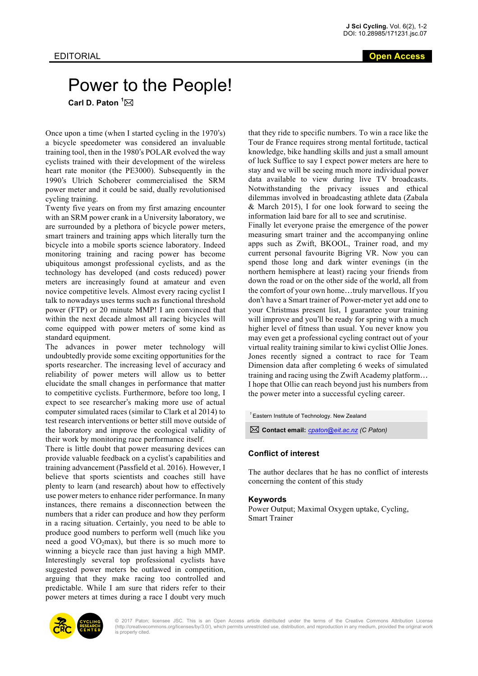## Power to the People! Carl D. Paton <sup>1</sup>⊠

Once upon a time (when I started cycling in the 1970's) a bicycle speedometer was considered an invaluable training tool, then in the 1980's POLAR evolved the way cyclists trained with their development of the wireless heart rate monitor (the PE3000). Subsequently in the 1990's Ulrich Schoberer commercialised the SRM power meter and it could be said, dually revolutionised cycling training.

Twenty five years on from my first amazing encounter with an SRM power crank in a University laboratory, we are surrounded by a plethora of bicycle power meters, smart trainers and training apps which literally turn the bicycle into a mobile sports science laboratory. Indeed monitoring training and racing power has become ubiquitous amongst professional cyclists, and as the technology has developed (and costs reduced) power meters are increasingly found at amateur and even novice competitive levels. Almost every racing cyclist I talk to nowadays uses terms such as functional threshold power (FTP) or 20 minute MMP! I am convinced that within the next decade almost all racing bicycles will come equipped with power meters of some kind as standard equipment.

The advances in power meter technology will undoubtedly provide some exciting opportunities for the sports researcher. The increasing level of accuracy and reliability of power meters will allow us to better elucidate the small changes in performance that matter to competitive cyclists. Furthermore, before too long, I expect to see researcher's making more use of actual computer simulated races (similar to Clark et al 2014) to test research interventions or better still move outside of the laboratory and improve the ecological validity of their work by monitoring race performance itself.

There is little doubt that power measuring devices can provide valuable feedback on a cyclist's capabilities and training advancement (Passfield et al. 2016). However, I believe that sports scientists and coaches still have plenty to learn (and research) about how to effectively use power meters to enhance rider performance. In many instances, there remains a disconnection between the numbers that a rider can produce and how they perform in a racing situation. Certainly, you need to be able to produce good numbers to perform well (much like you need a good  $VO<sub>2</sub>max$ ), but there is so much more to winning a bicycle race than just having a high MMP. Interestingly several top professional cyclists have suggested power meters be outlawed in competition, arguing that they make racing too controlled and predictable. While I am sure that riders refer to their power meters at times during a race I doubt very much

that they ride to specific numbers. To win a race like the Tour de France requires strong mental fortitude, tactical knowledge, bike handling skills and just a small amount of luck Suffice to say I expect power meters are here to stay and we will be seeing much more individual power data available to view during live TV broadcasts. Notwithstanding the privacy issues and ethical dilemmas involved in broadcasting athlete data (Zabala & March 2015), I for one look forward to seeing the information laid bare for all to see and scrutinise.

Finally let everyone praise the emergence of the power measuring smart trainer and the accompanying online apps such as Zwift, BKOOL, Trainer road, and my current personal favourite Bigring VR. Now you can spend those long and dark winter evenings (in the northern hemisphere at least) racing your friends from down the road or on the other side of the world, all from the comfort of your own home…truly marvellous. If you don't have a Smart trainer of Power-meter yet add one to your Christmas present list, I guarantee your training will improve and you'll be ready for spring with a much higher level of fitness than usual. You never know you may even get a professional cycling contract out of your virtual reality training similar to kiwi cyclist Ollie Jones. Jones recently signed a contract to race for Team Dimension data after completing 6 weeks of simulated training and racing using the Zwift Academy platform… I hope that Ollie can reach beyond just his numbers from the power meter into a successful cycling career.

*<sup>1</sup>*Eastern Institute of Technology. New Zealand

\* **Contact email:** *cpaton@eit.ac.nz (C Paton)*

## **Conflict of interest**

The author declares that he has no conflict of interests concerning the content of this study

## **Keywords**

Power Output; Maximal Oxygen uptake, Cycling, Smart Trainer



© 2017 Paton; licensee JSC. This is an Open Access article distributed under the terms of the Creative Commons Attribution License (http://creativecommons.org/licenses/by/3.0/), which permits unrestricted use, distribution, and reproduction in any medium, provided the original work is properly cited.